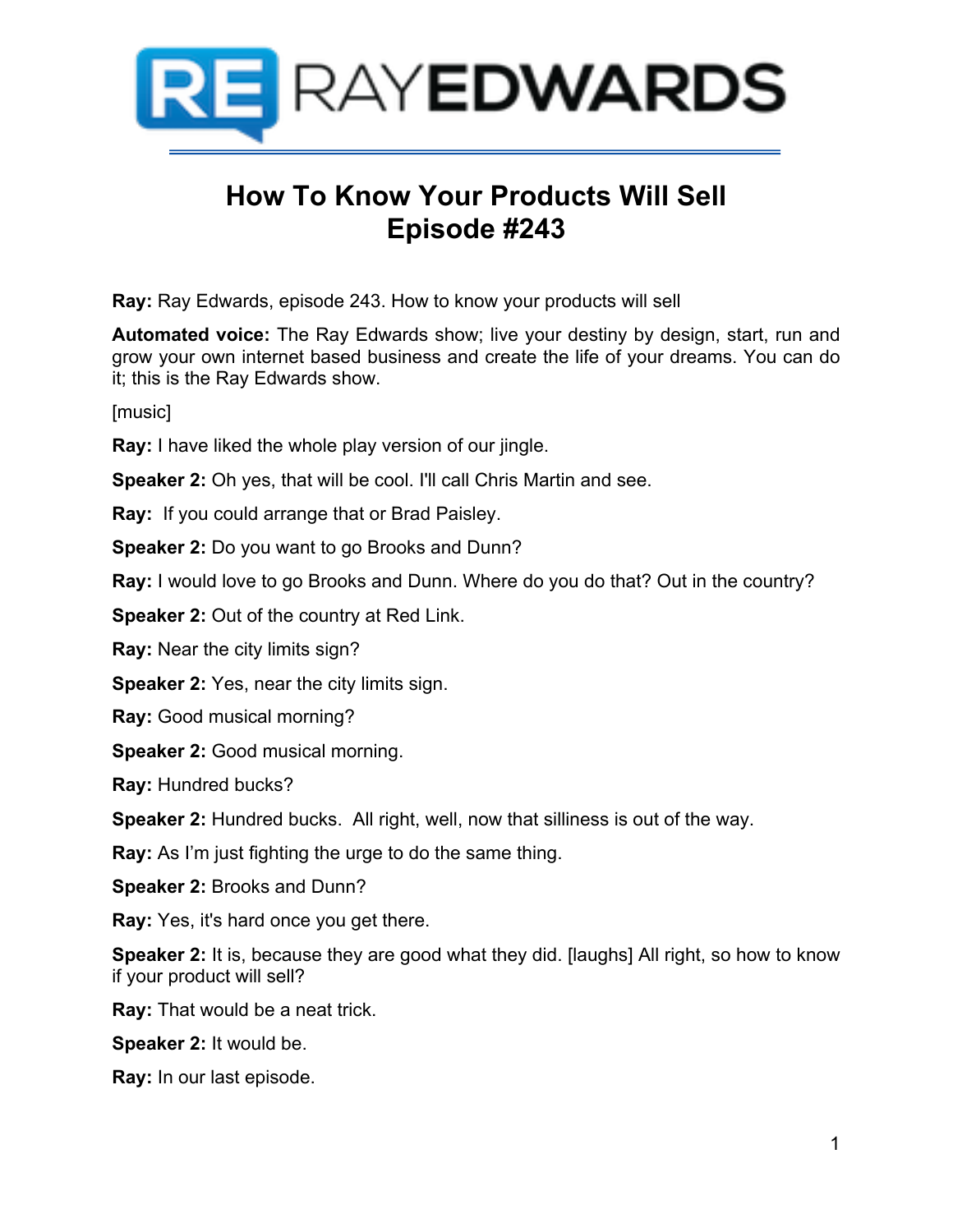

# **How To Know Your Products Will Sell Episode #243**

**Ray:** Ray Edwards, episode 243. How to know your products will sell

**Automated voice:** The Ray Edwards show; live your destiny by design, start, run and grow your own internet based business and create the life of your dreams. You can do it; this is the Ray Edwards show.

[music]

**Ray:** I have liked the whole play version of our jingle.

**Speaker 2:** Oh yes, that will be cool. I'll call Chris Martin and see.

**Ray:** If you could arrange that or Brad Paisley.

**Speaker 2:** Do you want to go Brooks and Dunn?

**Ray:** I would love to go Brooks and Dunn. Where do you do that? Out in the country?

**Speaker 2:** Out of the country at Red Link.

**Ray:** Near the city limits sign?

**Speaker 2:** Yes, near the city limits sign.

**Ray:** Good musical morning?

**Speaker 2:** Good musical morning.

**Ray:** Hundred bucks?

**Speaker 2:** Hundred bucks. All right, well, now that silliness is out of the way.

**Ray:** As I'm just fighting the urge to do the same thing.

**Speaker 2:** Brooks and Dunn?

**Ray:** Yes, it's hard once you get there.

**Speaker 2:** It is, because they are good what they did. [laughs] All right, so how to know if your product will sell?

**Ray:** That would be a neat trick.

**Speaker 2:** It would be.

**Ray:** In our last episode.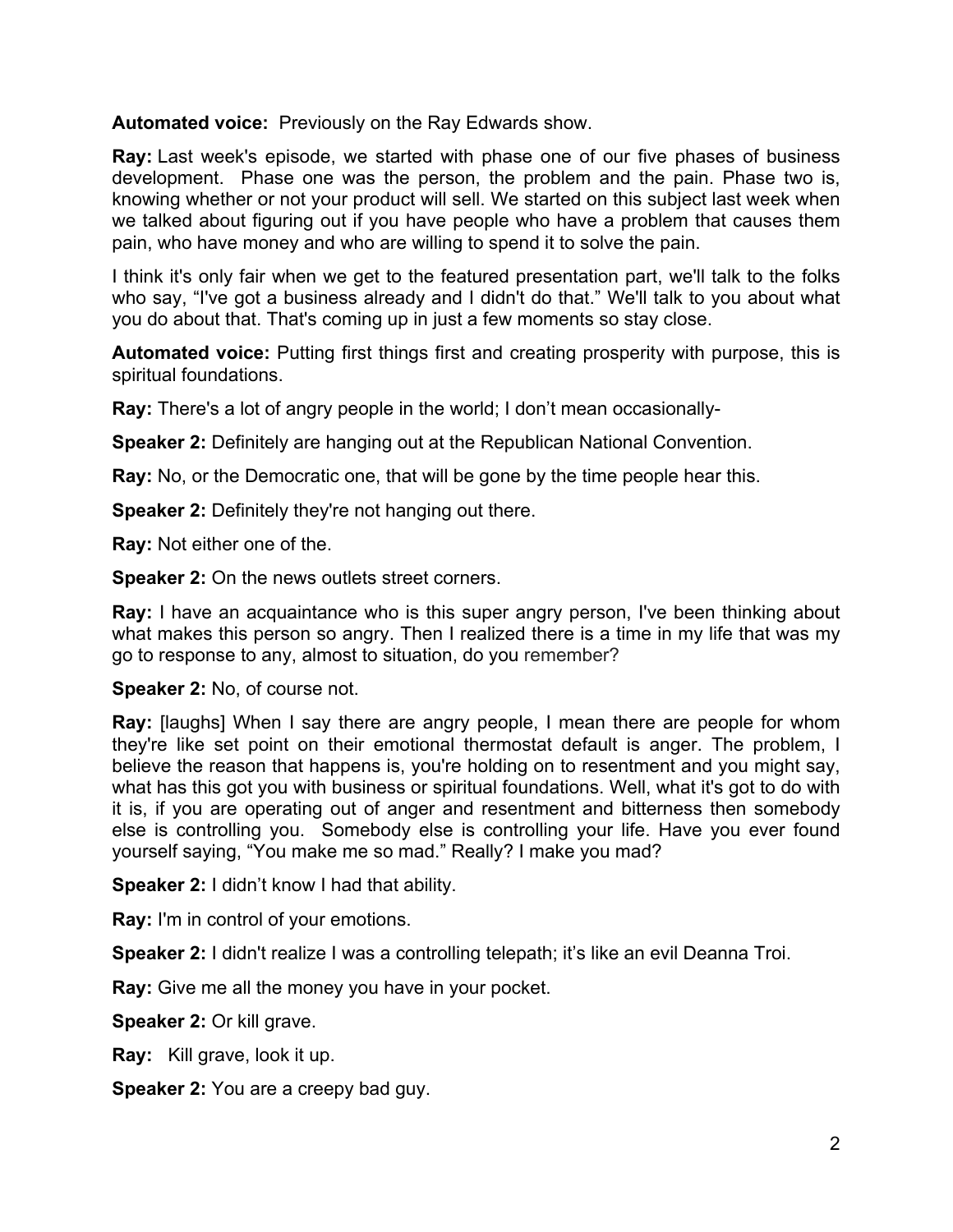**Automated voice:** Previously on the Ray Edwards show.

**Ray:** Last week's episode, we started with phase one of our five phases of business development. Phase one was the person, the problem and the pain. Phase two is, knowing whether or not your product will sell. We started on this subject last week when we talked about figuring out if you have people who have a problem that causes them pain, who have money and who are willing to spend it to solve the pain.

I think it's only fair when we get to the featured presentation part, we'll talk to the folks who say, "I've got a business already and I didn't do that." We'll talk to you about what you do about that. That's coming up in just a few moments so stay close.

**Automated voice:** Putting first things first and creating prosperity with purpose, this is spiritual foundations.

**Ray:** There's a lot of angry people in the world; I don't mean occasionally-

**Speaker 2:** Definitely are hanging out at the Republican National Convention.

**Ray:** No, or the Democratic one, that will be gone by the time people hear this.

**Speaker 2:** Definitely they're not hanging out there.

**Ray:** Not either one of the.

**Speaker 2:** On the news outlets street corners.

**Ray:** I have an acquaintance who is this super angry person, I've been thinking about what makes this person so angry. Then I realized there is a time in my life that was my go to response to any, almost to situation, do you remember?

**Speaker 2:** No, of course not.

**Ray:** [laughs] When I say there are angry people, I mean there are people for whom they're like set point on their emotional thermostat default is anger. The problem, I believe the reason that happens is, you're holding on to resentment and you might say, what has this got you with business or spiritual foundations. Well, what it's got to do with it is, if you are operating out of anger and resentment and bitterness then somebody else is controlling you. Somebody else is controlling your life. Have you ever found yourself saying, "You make me so mad." Really? I make you mad?

**Speaker 2:** I didn't know I had that ability.

**Ray:** I'm in control of your emotions.

**Speaker 2:** I didn't realize I was a controlling telepath; it's like an evil Deanna Troi.

**Ray:** Give me all the money you have in your pocket.

**Speaker 2:** Or kill grave.

**Ray:** Kill grave, look it up.

**Speaker 2:** You are a creepy bad guy.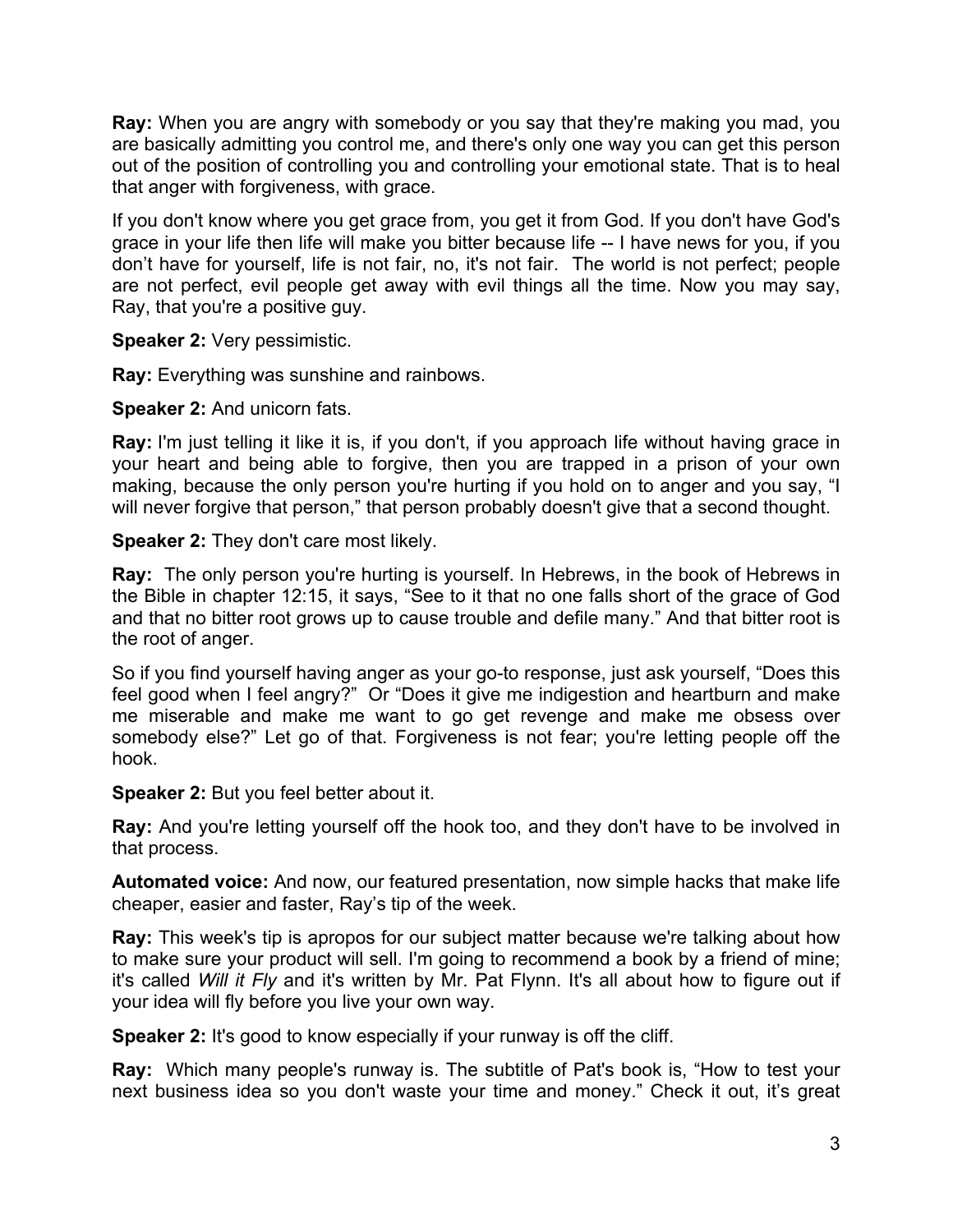**Ray:** When you are angry with somebody or you say that they're making you mad, you are basically admitting you control me, and there's only one way you can get this person out of the position of controlling you and controlling your emotional state. That is to heal that anger with forgiveness, with grace.

If you don't know where you get grace from, you get it from God. If you don't have God's grace in your life then life will make you bitter because life -- I have news for you, if you don't have for yourself, life is not fair, no, it's not fair. The world is not perfect; people are not perfect, evil people get away with evil things all the time. Now you may say, Ray, that you're a positive guy.

**Speaker 2:** Very pessimistic.

**Ray:** Everything was sunshine and rainbows.

**Speaker 2:** And unicorn fats.

**Ray:** I'm just telling it like it is, if you don't, if you approach life without having grace in your heart and being able to forgive, then you are trapped in a prison of your own making, because the only person you're hurting if you hold on to anger and you say, "I will never forgive that person," that person probably doesn't give that a second thought.

**Speaker 2:** They don't care most likely.

**Ray:** The only person you're hurting is yourself. In Hebrews, in the book of Hebrews in the Bible in chapter 12:15, it says, "See to it that no one falls short of the grace of God and that no bitter root grows up to cause trouble and defile many." And that bitter root is the root of anger.

So if you find yourself having anger as your go-to response, just ask yourself, "Does this feel good when I feel angry?" Or "Does it give me indigestion and heartburn and make me miserable and make me want to go get revenge and make me obsess over somebody else?" Let go of that. Forgiveness is not fear; you're letting people off the hook.

**Speaker 2:** But you feel better about it.

**Ray:** And you're letting yourself off the hook too, and they don't have to be involved in that process.

**Automated voice:** And now, our featured presentation, now simple hacks that make life cheaper, easier and faster, Ray's tip of the week.

**Ray:** This week's tip is apropos for our subject matter because we're talking about how to make sure your product will sell. I'm going to recommend a book by a friend of mine; it's called *Will it Fly* and it's written by Mr. Pat Flynn. It's all about how to figure out if your idea will fly before you live your own way.

**Speaker 2:** It's good to know especially if your runway is off the cliff.

**Ray:** Which many people's runway is. The subtitle of Pat's book is, "How to test your next business idea so you don't waste your time and money." Check it out, it's great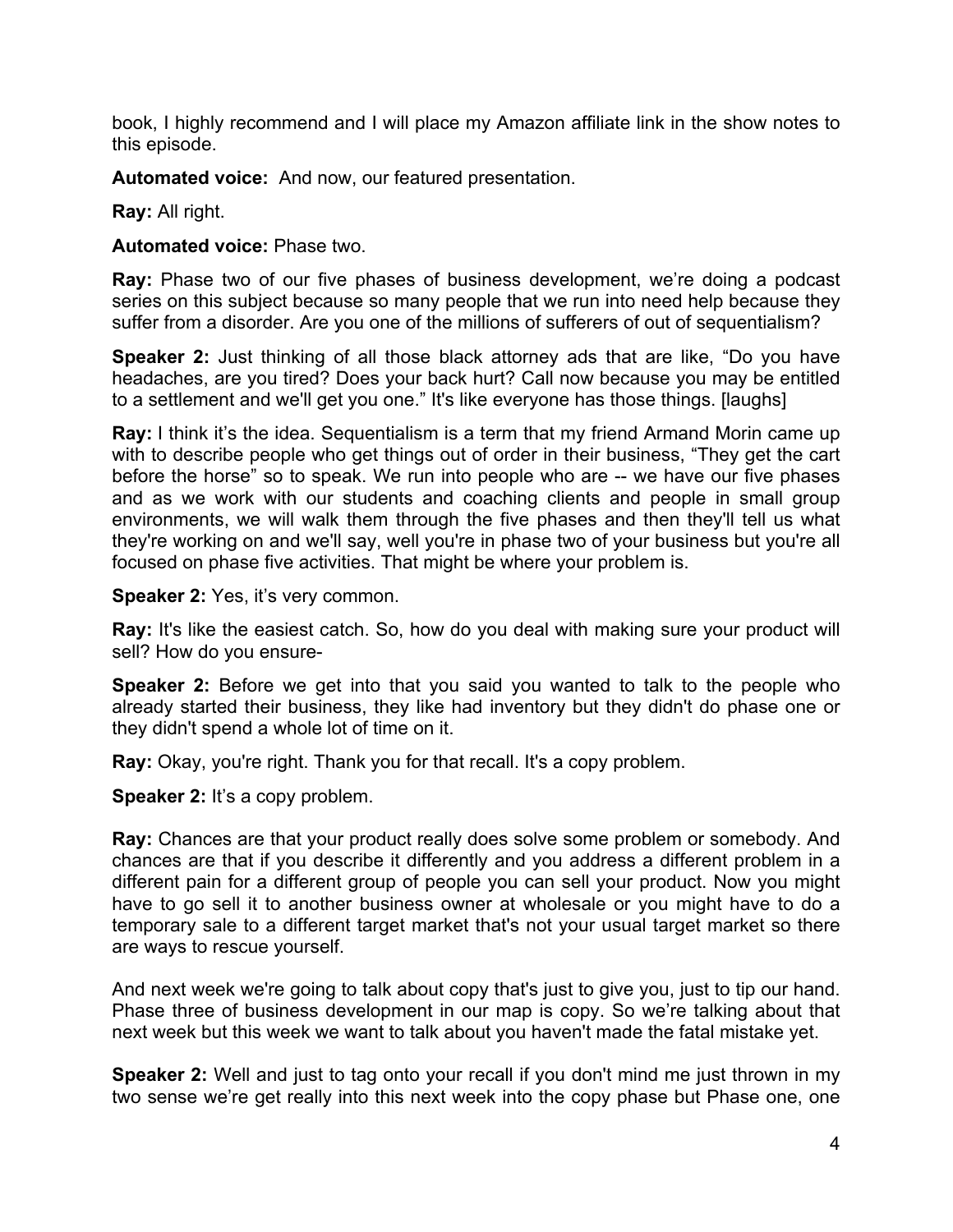book, I highly recommend and I will place my Amazon affiliate link in the show notes to this episode.

**Automated voice:** And now, our featured presentation.

**Ray:** All right.

**Automated voice:** Phase two.

**Ray:** Phase two of our five phases of business development, we're doing a podcast series on this subject because so many people that we run into need help because they suffer from a disorder. Are you one of the millions of sufferers of out of sequentialism?

**Speaker 2:** Just thinking of all those black attorney ads that are like, "Do you have headaches, are you tired? Does your back hurt? Call now because you may be entitled to a settlement and we'll get you one." It's like everyone has those things. [laughs]

**Ray:** I think it's the idea. Sequentialism is a term that my friend Armand Morin came up with to describe people who get things out of order in their business, "They get the cart before the horse" so to speak. We run into people who are -- we have our five phases and as we work with our students and coaching clients and people in small group environments, we will walk them through the five phases and then they'll tell us what they're working on and we'll say, well you're in phase two of your business but you're all focused on phase five activities. That might be where your problem is.

**Speaker 2: Yes, it's very common.** 

**Ray:** It's like the easiest catch. So, how do you deal with making sure your product will sell? How do you ensure-

**Speaker 2:** Before we get into that you said you wanted to talk to the people who already started their business, they like had inventory but they didn't do phase one or they didn't spend a whole lot of time on it.

**Ray:** Okay, you're right. Thank you for that recall. It's a copy problem.

**Speaker 2:** It's a copy problem.

**Ray:** Chances are that your product really does solve some problem or somebody. And chances are that if you describe it differently and you address a different problem in a different pain for a different group of people you can sell your product. Now you might have to go sell it to another business owner at wholesale or you might have to do a temporary sale to a different target market that's not your usual target market so there are ways to rescue yourself.

And next week we're going to talk about copy that's just to give you, just to tip our hand. Phase three of business development in our map is copy. So we're talking about that next week but this week we want to talk about you haven't made the fatal mistake yet.

**Speaker 2:** Well and just to tag onto your recall if you don't mind me just thrown in my two sense we're get really into this next week into the copy phase but Phase one, one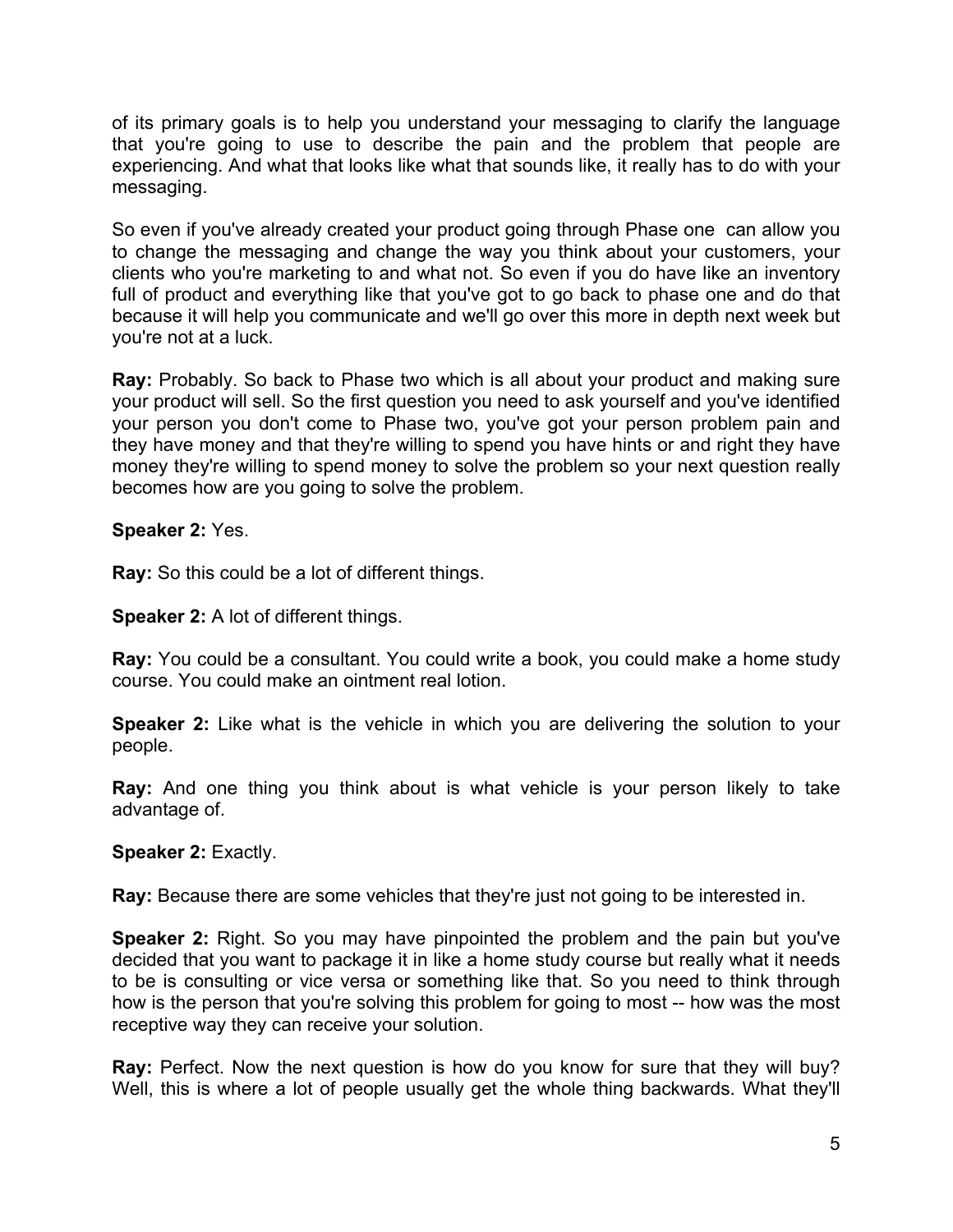of its primary goals is to help you understand your messaging to clarify the language that you're going to use to describe the pain and the problem that people are experiencing. And what that looks like what that sounds like, it really has to do with your messaging.

So even if you've already created your product going through Phase one can allow you to change the messaging and change the way you think about your customers, your clients who you're marketing to and what not. So even if you do have like an inventory full of product and everything like that you've got to go back to phase one and do that because it will help you communicate and we'll go over this more in depth next week but you're not at a luck.

**Ray:** Probably. So back to Phase two which is all about your product and making sure your product will sell. So the first question you need to ask yourself and you've identified your person you don't come to Phase two, you've got your person problem pain and they have money and that they're willing to spend you have hints or and right they have money they're willing to spend money to solve the problem so your next question really becomes how are you going to solve the problem.

**Speaker 2:** Yes.

**Ray:** So this could be a lot of different things.

**Speaker 2:** A lot of different things.

**Ray:** You could be a consultant. You could write a book, you could make a home study course. You could make an ointment real lotion.

**Speaker 2:** Like what is the vehicle in which you are delivering the solution to your people.

**Ray:** And one thing you think about is what vehicle is your person likely to take advantage of.

**Speaker 2:** Exactly.

**Ray:** Because there are some vehicles that they're just not going to be interested in.

**Speaker 2:** Right. So you may have pinpointed the problem and the pain but you've decided that you want to package it in like a home study course but really what it needs to be is consulting or vice versa or something like that. So you need to think through how is the person that you're solving this problem for going to most -- how was the most receptive way they can receive your solution.

**Ray:** Perfect. Now the next question is how do you know for sure that they will buy? Well, this is where a lot of people usually get the whole thing backwards. What they'll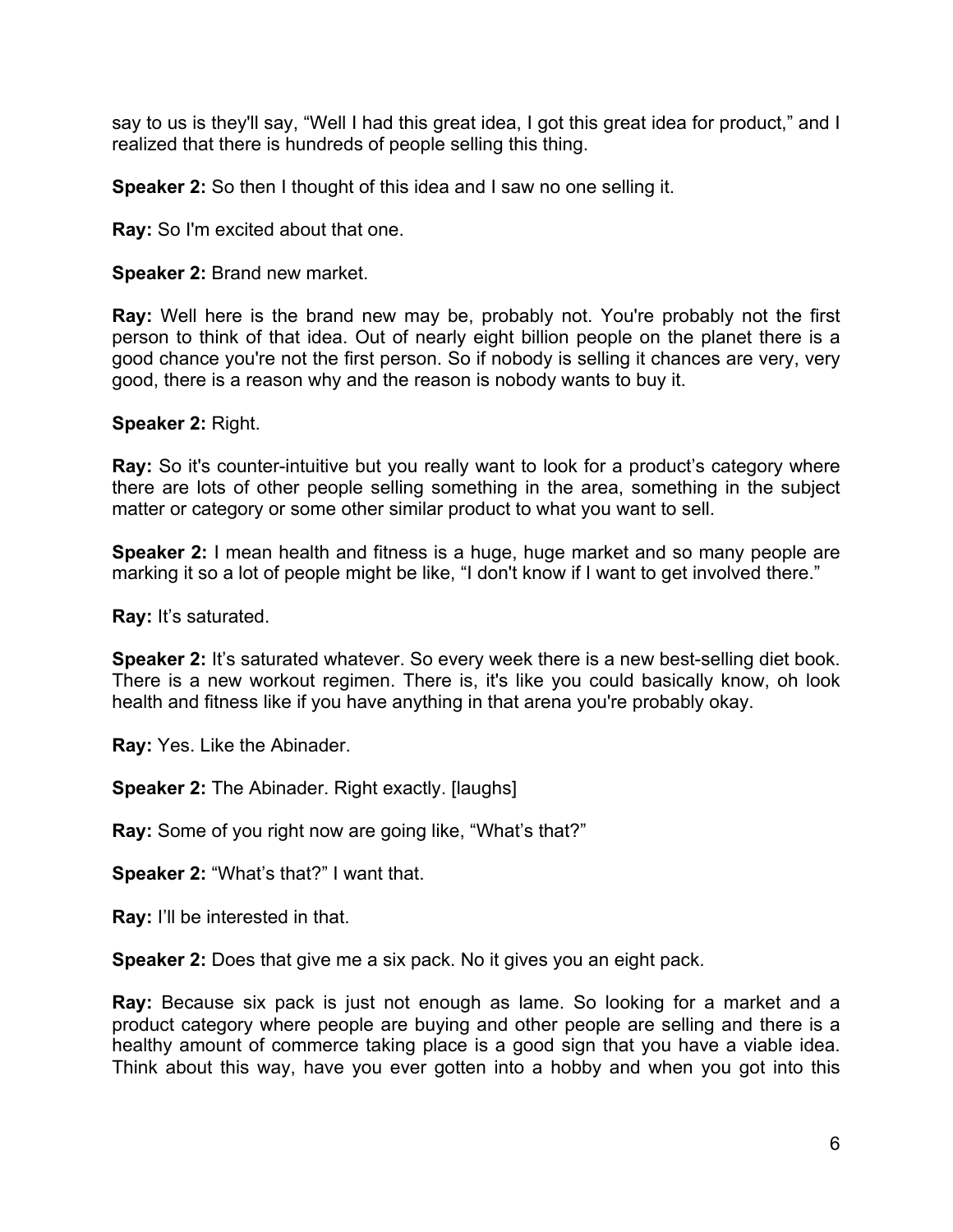say to us is they'll say, "Well I had this great idea, I got this great idea for product," and I realized that there is hundreds of people selling this thing.

**Speaker 2:** So then I thought of this idea and I saw no one selling it.

**Ray:** So I'm excited about that one.

**Speaker 2:** Brand new market.

**Ray:** Well here is the brand new may be, probably not. You're probably not the first person to think of that idea. Out of nearly eight billion people on the planet there is a good chance you're not the first person. So if nobody is selling it chances are very, very good, there is a reason why and the reason is nobody wants to buy it.

**Speaker 2:** Right.

**Ray:** So it's counter-intuitive but you really want to look for a product's category where there are lots of other people selling something in the area, something in the subject matter or category or some other similar product to what you want to sell.

**Speaker 2:** I mean health and fitness is a huge, huge market and so many people are marking it so a lot of people might be like, "I don't know if I want to get involved there."

**Ray:** It's saturated.

**Speaker 2:** It's saturated whatever. So every week there is a new best-selling diet book. There is a new workout regimen. There is, it's like you could basically know, oh look health and fitness like if you have anything in that arena you're probably okay.

**Ray:** Yes. Like the Abinader.

**Speaker 2:** The Abinader. Right exactly. [laughs]

**Ray:** Some of you right now are going like, "What's that?"

**Speaker 2:** "What's that?" I want that.

**Ray:** I'll be interested in that.

**Speaker 2:** Does that give me a six pack. No it gives you an eight pack.

**Ray:** Because six pack is just not enough as lame. So looking for a market and a product category where people are buying and other people are selling and there is a healthy amount of commerce taking place is a good sign that you have a viable idea. Think about this way, have you ever gotten into a hobby and when you got into this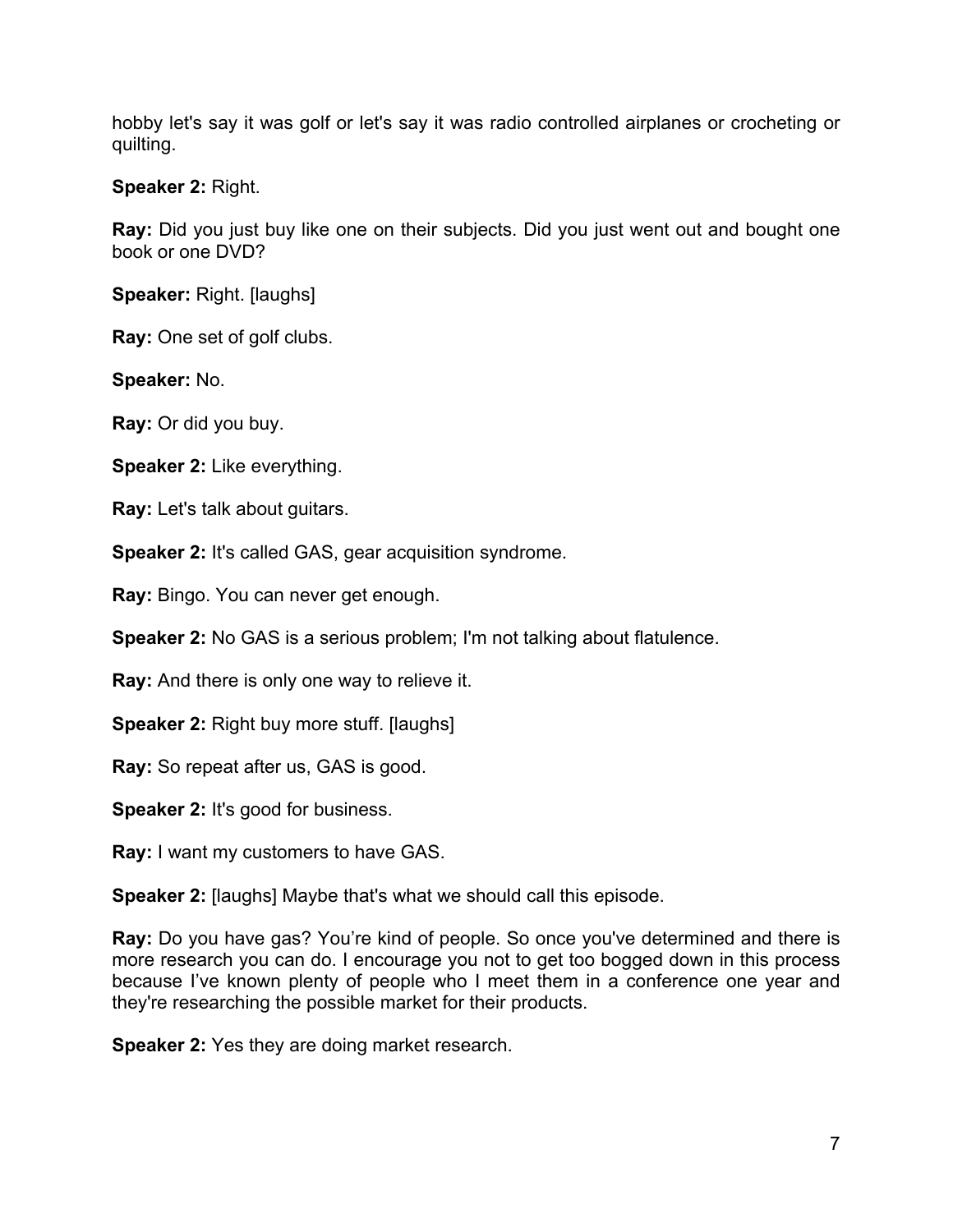hobby let's say it was golf or let's say it was radio controlled airplanes or crocheting or quilting.

**Speaker 2:** Right.

**Ray:** Did you just buy like one on their subjects. Did you just went out and bought one book or one DVD?

**Speaker:** Right. [laughs]

**Ray:** One set of golf clubs.

**Speaker:** No.

**Ray:** Or did you buy.

**Speaker 2:** Like everything.

**Ray:** Let's talk about guitars.

**Speaker 2:** It's called GAS, gear acquisition syndrome.

**Ray:** Bingo. You can never get enough.

**Speaker 2:** No GAS is a serious problem; I'm not talking about flatulence.

**Ray:** And there is only one way to relieve it.

**Speaker 2:** Right buy more stuff. [laughs]

**Ray:** So repeat after us, GAS is good.

**Speaker 2:** It's good for business.

**Ray:** I want my customers to have GAS.

**Speaker 2:** [laughs] Maybe that's what we should call this episode.

**Ray:** Do you have gas? You're kind of people. So once you've determined and there is more research you can do. I encourage you not to get too bogged down in this process because I've known plenty of people who I meet them in a conference one year and they're researching the possible market for their products.

**Speaker 2:** Yes they are doing market research.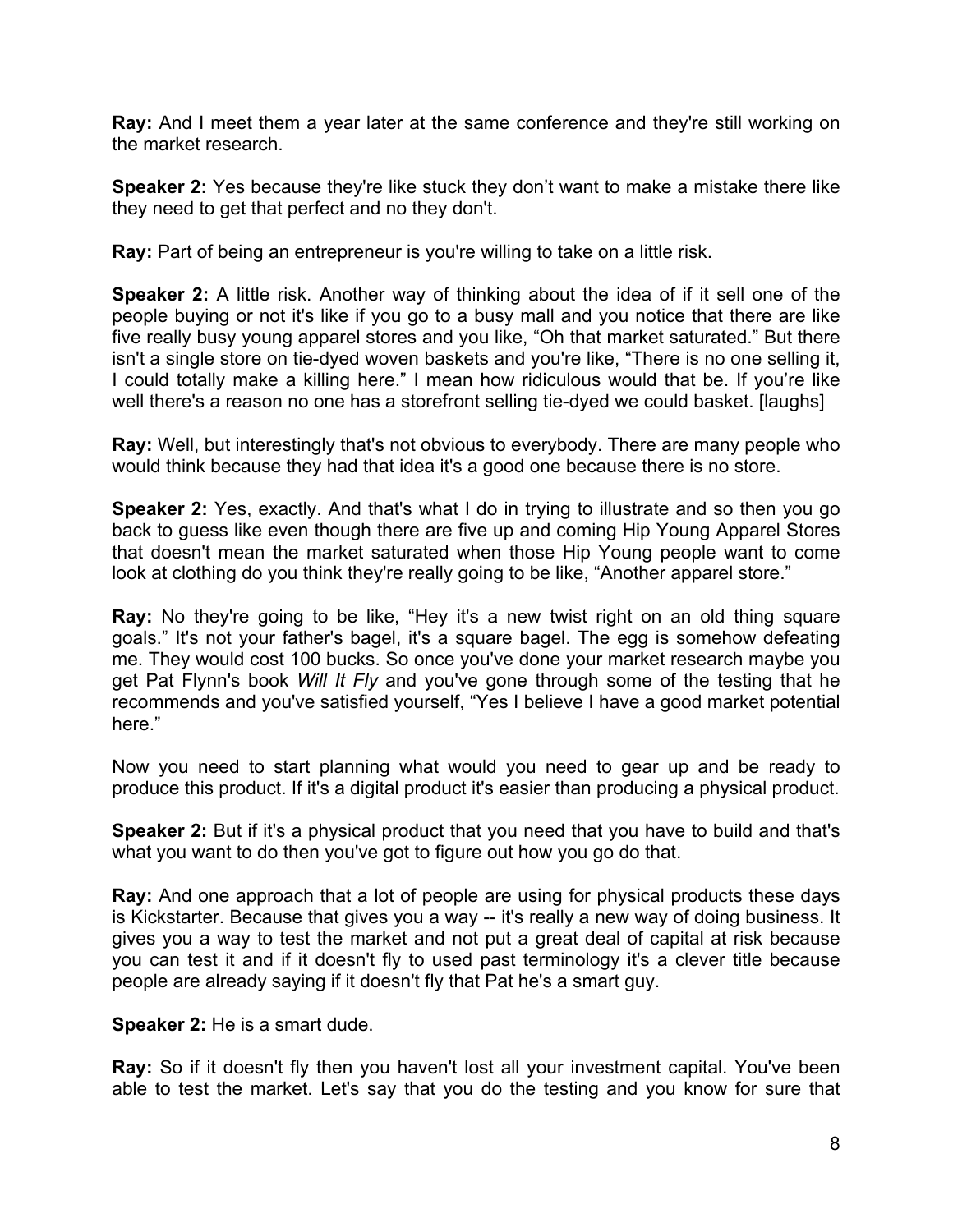**Ray:** And I meet them a year later at the same conference and they're still working on the market research.

**Speaker 2:** Yes because they're like stuck they don't want to make a mistake there like they need to get that perfect and no they don't.

**Ray:** Part of being an entrepreneur is you're willing to take on a little risk.

**Speaker 2:** A little risk. Another way of thinking about the idea of if it sell one of the people buying or not it's like if you go to a busy mall and you notice that there are like five really busy young apparel stores and you like, "Oh that market saturated." But there isn't a single store on tie-dyed woven baskets and you're like, "There is no one selling it, I could totally make a killing here." I mean how ridiculous would that be. If you're like well there's a reason no one has a storefront selling tie-dyed we could basket. [laughs]

**Ray:** Well, but interestingly that's not obvious to everybody. There are many people who would think because they had that idea it's a good one because there is no store.

**Speaker 2:** Yes, exactly. And that's what I do in trying to illustrate and so then you go back to guess like even though there are five up and coming Hip Young Apparel Stores that doesn't mean the market saturated when those Hip Young people want to come look at clothing do you think they're really going to be like, "Another apparel store."

**Ray:** No they're going to be like, "Hey it's a new twist right on an old thing square goals." It's not your father's bagel, it's a square bagel. The egg is somehow defeating me. They would cost 100 bucks. So once you've done your market research maybe you get Pat Flynn's book *Will It Fly* and you've gone through some of the testing that he recommends and you've satisfied yourself, "Yes I believe I have a good market potential here."

Now you need to start planning what would you need to gear up and be ready to produce this product. If it's a digital product it's easier than producing a physical product.

**Speaker 2:** But if it's a physical product that you need that you have to build and that's what you want to do then you've got to figure out how you go do that.

**Ray:** And one approach that a lot of people are using for physical products these days is Kickstarter. Because that gives you a way -- it's really a new way of doing business. It gives you a way to test the market and not put a great deal of capital at risk because you can test it and if it doesn't fly to used past terminology it's a clever title because people are already saying if it doesn't fly that Pat he's a smart guy.

**Speaker 2:** He is a smart dude.

**Ray:** So if it doesn't fly then you haven't lost all your investment capital. You've been able to test the market. Let's say that you do the testing and you know for sure that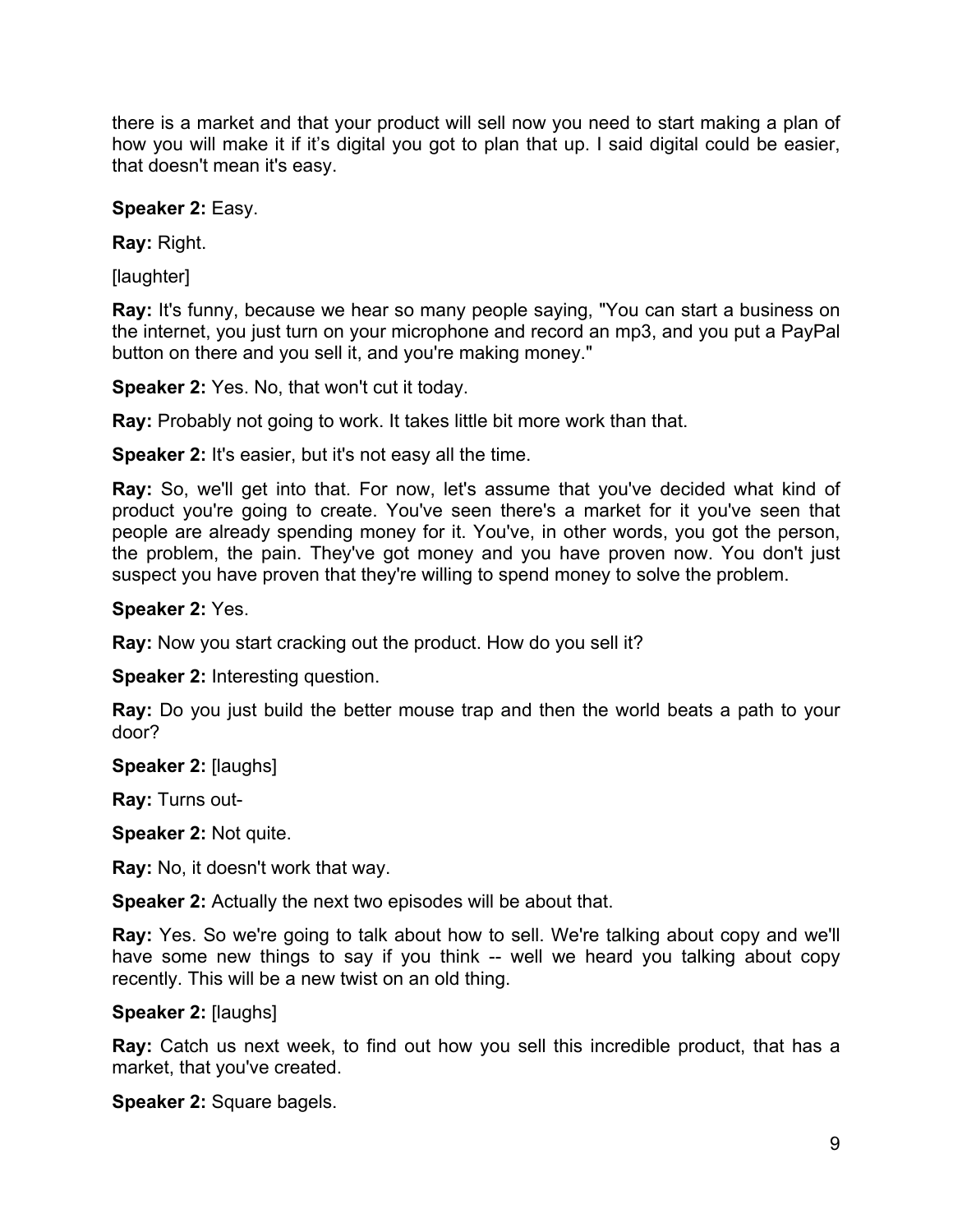there is a market and that your product will sell now you need to start making a plan of how you will make it if it's digital you got to plan that up. I said digital could be easier, that doesn't mean it's easy.

### **Speaker 2:** Easy.

**Ray:** Right.

[laughter]

**Ray:** It's funny, because we hear so many people saying, "You can start a business on the internet, you just turn on your microphone and record an mp3, and you put a PayPal button on there and you sell it, and you're making money."

**Speaker 2:** Yes. No, that won't cut it today.

**Ray:** Probably not going to work. It takes little bit more work than that.

**Speaker 2:** It's easier, but it's not easy all the time.

**Ray:** So, we'll get into that. For now, let's assume that you've decided what kind of product you're going to create. You've seen there's a market for it you've seen that people are already spending money for it. You've, in other words, you got the person, the problem, the pain. They've got money and you have proven now. You don't just suspect you have proven that they're willing to spend money to solve the problem.

#### **Speaker 2:** Yes.

**Ray:** Now you start cracking out the product. How do you sell it?

**Speaker 2:** Interesting question.

**Ray:** Do you just build the better mouse trap and then the world beats a path to your door?

**Speaker 2:** [laughs]

**Ray:** Turns out-

**Speaker 2:** Not quite.

**Ray:** No, it doesn't work that way.

**Speaker 2:** Actually the next two episodes will be about that.

**Ray:** Yes. So we're going to talk about how to sell. We're talking about copy and we'll have some new things to say if you think -- well we heard you talking about copy recently. This will be a new twist on an old thing.

#### **Speaker 2:** [laughs]

**Ray:** Catch us next week, to find out how you sell this incredible product, that has a market, that you've created.

**Speaker 2:** Square bagels.